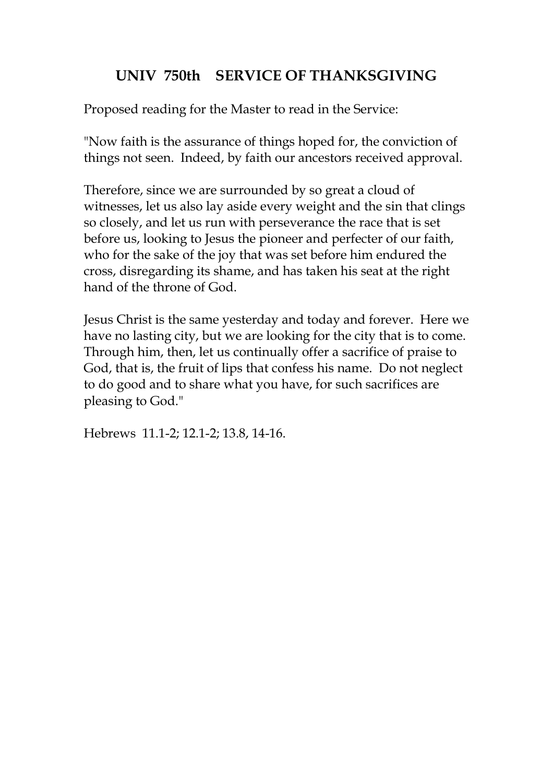# **UNIV 750th SERVICE OF THANKSGIVING**

Proposed reading for the Master to read in the Service:

"Now faith is the assurance of things hoped for, the conviction of things not seen. Indeed, by faith our ancestors received approval.

Therefore, since we are surrounded by so great a cloud of witnesses, let us also lay aside every weight and the sin that clings so closely, and let us run with perseverance the race that is set before us, looking to Jesus the pioneer and perfecter of our faith, who for the sake of the joy that was set before him endured the cross, disregarding its shame, and has taken his seat at the right hand of the throne of God.

Jesus Christ is the same yesterday and today and forever. Here we have no lasting city, but we are looking for the city that is to come. Through him, then, let us continually offer a sacrifice of praise to God, that is, the fruit of lips that confess his name. Do not neglect to do good and to share what you have, for such sacrifices are pleasing to God."

Hebrews 11.1-2; 12.1-2; 13.8, 14-16.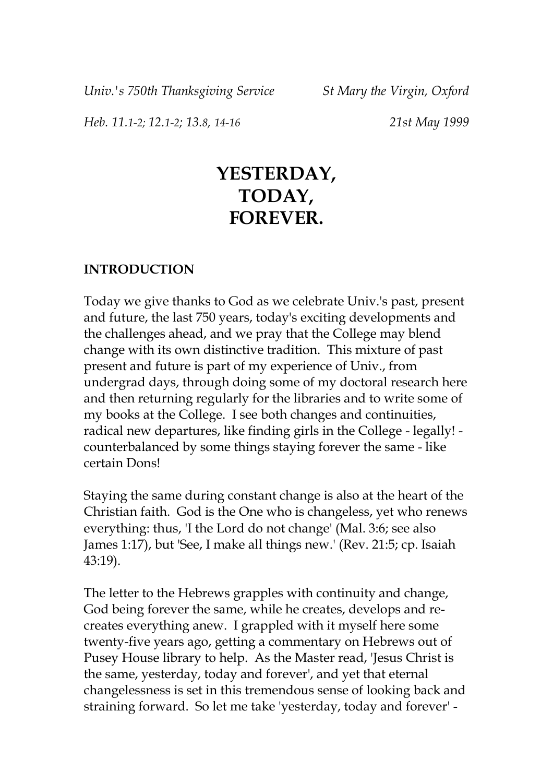*Univ.'s 750th Thanksgiving Service St Mary the Virgin, Oxford*

*Heb. 11.1-2; 12.1-2; 13.8, 14-16 21st May 1999*

# **YESTERDAY, TODAY, FOREVER.**

### **INTRODUCTION**

Today we give thanks to God as we celebrate Univ.'s past, present and future, the last 750 years, today's exciting developments and the challenges ahead, and we pray that the College may blend change with its own distinctive tradition. This mixture of past present and future is part of my experience of Univ., from undergrad days, through doing some of my doctoral research here and then returning regularly for the libraries and to write some of my books at the College. I see both changes and continuities, radical new departures, like finding girls in the College - legally! counterbalanced by some things staying forever the same - like certain Dons!

Staying the same during constant change is also at the heart of the Christian faith. God is the One who is changeless, yet who renews everything: thus, 'I the Lord do not change' (Mal. 3:6; see also James 1:17), but 'See, I make all things new.' (Rev. 21:5; cp. Isaiah 43:19).

The letter to the Hebrews grapples with continuity and change, God being forever the same, while he creates, develops and recreates everything anew. I grappled with it myself here some twenty-five years ago, getting a commentary on Hebrews out of Pusey House library to help. As the Master read, 'Jesus Christ is the same, yesterday, today and forever', and yet that eternal changelessness is set in this tremendous sense of looking back and straining forward. So let me take 'yesterday, today and forever' -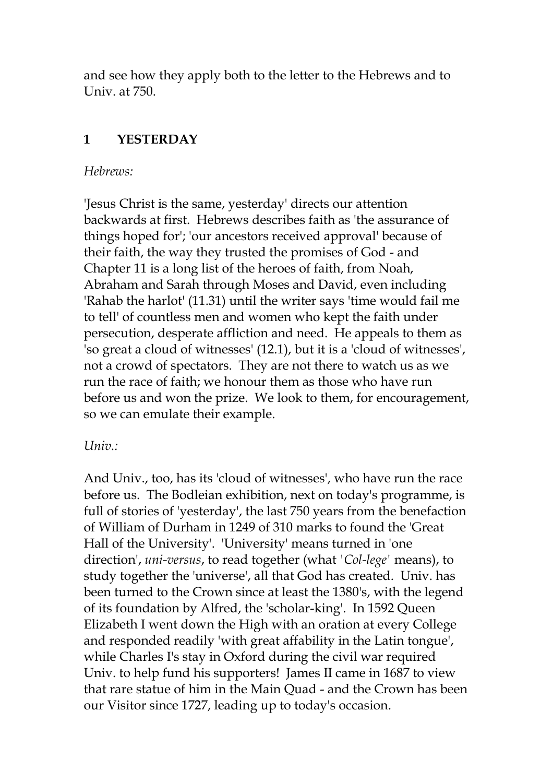and see how they apply both to the letter to the Hebrews and to Univ. at 750.

# **1 YESTERDAY**

### *Hebrews:*

'Jesus Christ is the same, yesterday' directs our attention backwards at first. Hebrews describes faith as 'the assurance of things hoped for'; 'our ancestors received approval' because of their faith, the way they trusted the promises of God - and Chapter 11 is a long list of the heroes of faith, from Noah, Abraham and Sarah through Moses and David, even including 'Rahab the harlot' (11.31) until the writer says 'time would fail me to tell' of countless men and women who kept the faith under persecution, desperate affliction and need. He appeals to them as 'so great a cloud of witnesses' (12.1), but it is a 'cloud of witnesses', not a crowd of spectators. They are not there to watch us as we run the race of faith; we honour them as those who have run before us and won the prize. We look to them, for encouragement, so we can emulate their example.

# *Univ.:*

And Univ., too, has its 'cloud of witnesses', who have run the race before us. The Bodleian exhibition, next on today's programme, is full of stories of 'yesterday', the last 750 years from the benefaction of William of Durham in 1249 of 310 marks to found the 'Great Hall of the University'. 'University' means turned in 'one direction', *uni-versus*, to read together (what *'Col-lege'* means), to study together the 'universe', all that God has created. Univ. has been turned to the Crown since at least the 1380's, with the legend of its foundation by Alfred, the 'scholar-king'. In 1592 Queen Elizabeth I went down the High with an oration at every College and responded readily 'with great affability in the Latin tongue', while Charles I's stay in Oxford during the civil war required Univ. to help fund his supporters! James II came in 1687 to view that rare statue of him in the Main Quad - and the Crown has been our Visitor since 1727, leading up to today's occasion.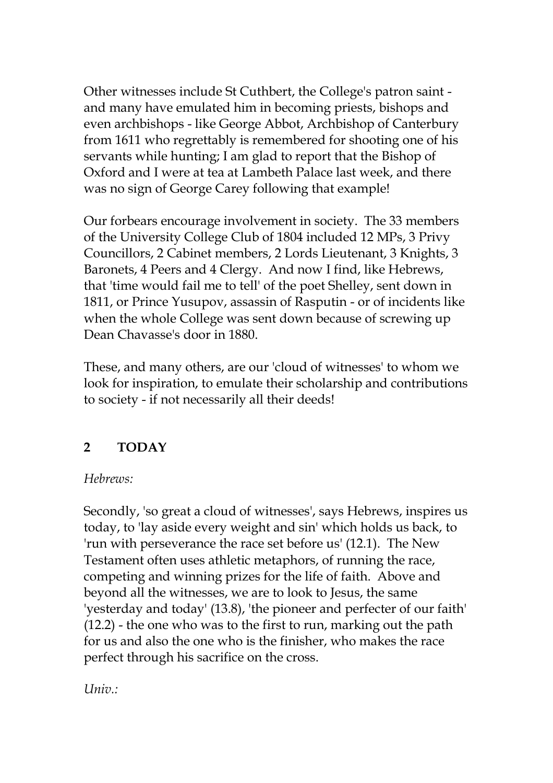Other witnesses include St Cuthbert, the College's patron saint and many have emulated him in becoming priests, bishops and even archbishops - like George Abbot, Archbishop of Canterbury from 1611 who regrettably is remembered for shooting one of his servants while hunting; I am glad to report that the Bishop of Oxford and I were at tea at Lambeth Palace last week, and there was no sign of George Carey following that example!

Our forbears encourage involvement in society. The 33 members of the University College Club of 1804 included 12 MPs, 3 Privy Councillors, 2 Cabinet members, 2 Lords Lieutenant, 3 Knights, 3 Baronets, 4 Peers and 4 Clergy. And now I find, like Hebrews, that 'time would fail me to tell' of the poet Shelley, sent down in 1811, or Prince Yusupov, assassin of Rasputin - or of incidents like when the whole College was sent down because of screwing up Dean Chavasse's door in 1880.

These, and many others, are our 'cloud of witnesses' to whom we look for inspiration, to emulate their scholarship and contributions to society - if not necessarily all their deeds!

# **2 TODAY**

# *Hebrews:*

Secondly, 'so great a cloud of witnesses', says Hebrews, inspires us today, to 'lay aside every weight and sin' which holds us back, to 'run with perseverance the race set before us' (12.1). The New Testament often uses athletic metaphors, of running the race, competing and winning prizes for the life of faith. Above and beyond all the witnesses, we are to look to Jesus, the same 'yesterday and today' (13.8), 'the pioneer and perfecter of our faith' (12.2) - the one who was to the first to run, marking out the path for us and also the one who is the finisher, who makes the race perfect through his sacrifice on the cross.

*Univ.:*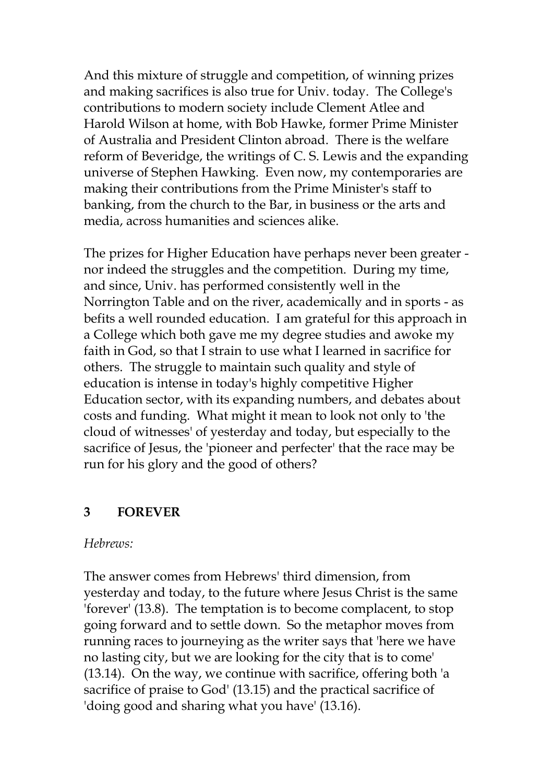And this mixture of struggle and competition, of winning prizes and making sacrifices is also true for Univ. today. The College's contributions to modern society include Clement Atlee and Harold Wilson at home, with Bob Hawke, former Prime Minister of Australia and President Clinton abroad. There is the welfare reform of Beveridge, the writings of C. S. Lewis and the expanding universe of Stephen Hawking. Even now, my contemporaries are making their contributions from the Prime Minister's staff to banking, from the church to the Bar, in business or the arts and media, across humanities and sciences alike.

The prizes for Higher Education have perhaps never been greater nor indeed the struggles and the competition. During my time, and since, Univ. has performed consistently well in the Norrington Table and on the river, academically and in sports - as befits a well rounded education. I am grateful for this approach in a College which both gave me my degree studies and awoke my faith in God, so that I strain to use what I learned in sacrifice for others. The struggle to maintain such quality and style of education is intense in today's highly competitive Higher Education sector, with its expanding numbers, and debates about costs and funding. What might it mean to look not only to 'the cloud of witnesses' of yesterday and today, but especially to the sacrifice of Jesus, the 'pioneer and perfecter' that the race may be run for his glory and the good of others?

# **3 FOREVER**

#### *Hebrews:*

The answer comes from Hebrews' third dimension, from yesterday and today, to the future where Jesus Christ is the same 'forever' (13.8). The temptation is to become complacent, to stop going forward and to settle down. So the metaphor moves from running races to journeying as the writer says that 'here we have no lasting city, but we are looking for the city that is to come' (13.14). On the way, we continue with sacrifice, offering both 'a sacrifice of praise to God' (13.15) and the practical sacrifice of 'doing good and sharing what you have' (13.16).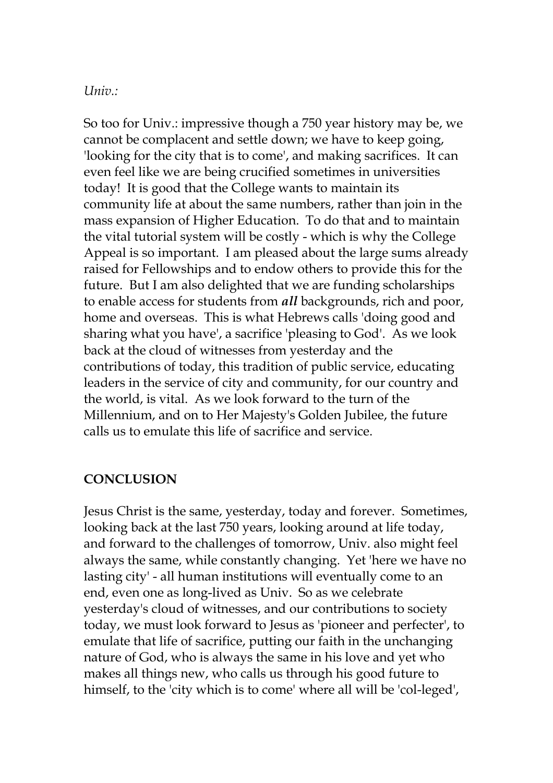#### *Univ.:*

So too for Univ.: impressive though a 750 year history may be, we cannot be complacent and settle down; we have to keep going, 'looking for the city that is to come', and making sacrifices. It can even feel like we are being crucified sometimes in universities today! It is good that the College wants to maintain its community life at about the same numbers, rather than join in the mass expansion of Higher Education. To do that and to maintain the vital tutorial system will be costly - which is why the College Appeal is so important. I am pleased about the large sums already raised for Fellowships and to endow others to provide this for the future. But I am also delighted that we are funding scholarships to enable access for students from *all* backgrounds, rich and poor, home and overseas. This is what Hebrews calls 'doing good and sharing what you have', a sacrifice 'pleasing to God'. As we look back at the cloud of witnesses from yesterday and the contributions of today, this tradition of public service, educating leaders in the service of city and community, for our country and the world, is vital. As we look forward to the turn of the Millennium, and on to Her Majesty's Golden Jubilee, the future calls us to emulate this life of sacrifice and service.

### **CONCLUSION**

Jesus Christ is the same, yesterday, today and forever. Sometimes, looking back at the last 750 years, looking around at life today, and forward to the challenges of tomorrow, Univ. also might feel always the same, while constantly changing. Yet 'here we have no lasting city' - all human institutions will eventually come to an end, even one as long-lived as Univ. So as we celebrate yesterday's cloud of witnesses, and our contributions to society today, we must look forward to Jesus as 'pioneer and perfecter', to emulate that life of sacrifice, putting our faith in the unchanging nature of God, who is always the same in his love and yet who makes all things new, who calls us through his good future to himself, to the 'city which is to come' where all will be 'col-leged',